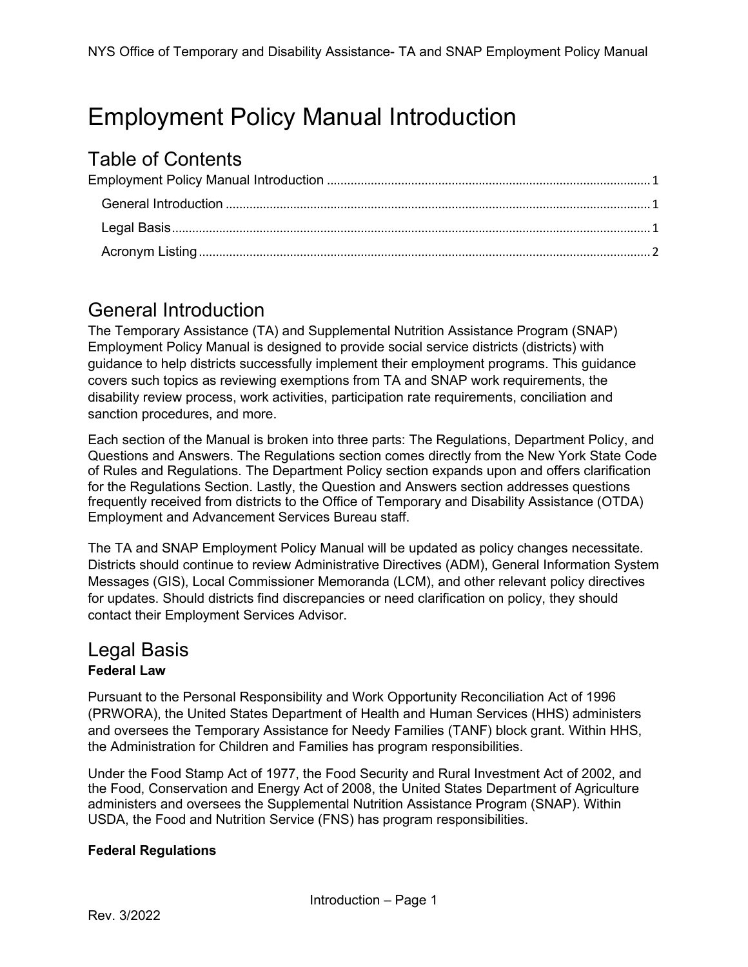# <span id="page-0-0"></span>Employment Policy Manual Introduction

# Table of Contents

# <span id="page-0-1"></span>General Introduction

The Temporary Assistance (TA) and Supplemental Nutrition Assistance Program (SNAP) Employment Policy Manual is designed to provide social service districts (districts) with guidance to help districts successfully implement their employment programs. This guidance covers such topics as reviewing exemptions from TA and SNAP work requirements, the disability review process, work activities, participation rate requirements, conciliation and sanction procedures, and more.

Each section of the Manual is broken into three parts: The Regulations, Department Policy, and Questions and Answers. The Regulations section comes directly from the New York State Code of Rules and Regulations. The Department Policy section expands upon and offers clarification for the Regulations Section. Lastly, the Question and Answers section addresses questions frequently received from districts to the Office of Temporary and Disability Assistance (OTDA) Employment and Advancement Services Bureau staff.

The TA and SNAP Employment Policy Manual will be updated as policy changes necessitate. Districts should continue to review Administrative Directives (ADM), General Information System Messages (GIS), Local Commissioner Memoranda (LCM), and other relevant policy directives for updates. Should districts find discrepancies or need clarification on policy, they should contact their Employment Services Advisor.

## <span id="page-0-2"></span>Legal Basis **Federal Law**

Pursuant to the Personal Responsibility and Work Opportunity Reconciliation Act of 1996 (PRWORA), the United States Department of Health and Human Services (HHS) administers and oversees the Temporary Assistance for Needy Families (TANF) block grant. Within HHS, the Administration for Children and Families has program responsibilities.

Under the Food Stamp Act of 1977, the Food Security and Rural Investment Act of 2002, and the Food, Conservation and Energy Act of 2008, the United States Department of Agriculture administers and oversees the Supplemental Nutrition Assistance Program (SNAP). Within USDA, the Food and Nutrition Service (FNS) has program responsibilities.

#### **Federal Regulations**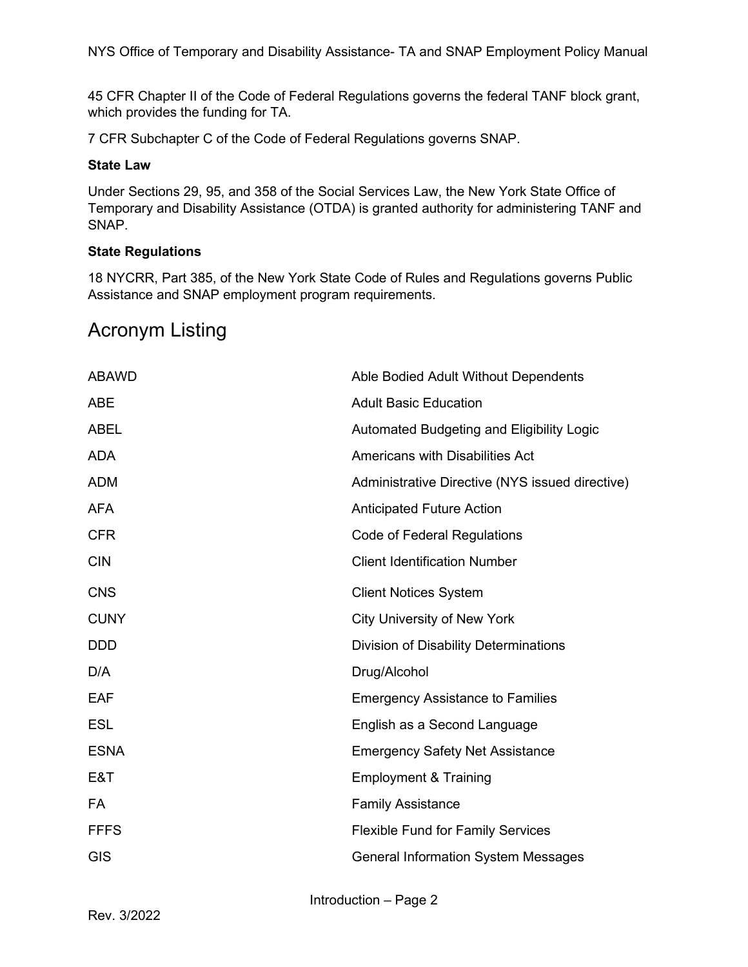NYS Office of Temporary and Disability Assistance- TA and SNAP Employment Policy Manual

45 CFR Chapter II of the Code of Federal Regulations governs the federal TANF block grant, which provides the funding for TA.

7 CFR Subchapter C of the Code of Federal Regulations governs SNAP.

#### **State Law**

Under Sections 29, 95, and 358 of the Social Services Law, the New York State Office of Temporary and Disability Assistance (OTDA) is granted authority for administering TANF and SNAP.

#### **State Regulations**

18 NYCRR, Part 385, of the New York State Code of Rules and Regulations governs Public Assistance and SNAP employment program requirements.

# <span id="page-1-0"></span>Acronym Listing

| <b>ABAWD</b> | Able Bodied Adult Without Dependents            |
|--------------|-------------------------------------------------|
| <b>ABE</b>   | <b>Adult Basic Education</b>                    |
| <b>ABEL</b>  | Automated Budgeting and Eligibility Logic       |
| <b>ADA</b>   | <b>Americans with Disabilities Act</b>          |
| <b>ADM</b>   | Administrative Directive (NYS issued directive) |
| <b>AFA</b>   | <b>Anticipated Future Action</b>                |
| <b>CFR</b>   | Code of Federal Regulations                     |
| <b>CIN</b>   | <b>Client Identification Number</b>             |
| <b>CNS</b>   | <b>Client Notices System</b>                    |
| <b>CUNY</b>  | <b>City University of New York</b>              |
| <b>DDD</b>   | Division of Disability Determinations           |
| D/A          | Drug/Alcohol                                    |
| <b>EAF</b>   | <b>Emergency Assistance to Families</b>         |
| <b>ESL</b>   | English as a Second Language                    |
| <b>ESNA</b>  | <b>Emergency Safety Net Assistance</b>          |
| E&T          | <b>Employment &amp; Training</b>                |
| FA           | <b>Family Assistance</b>                        |
| <b>FFFS</b>  | <b>Flexible Fund for Family Services</b>        |
| <b>GIS</b>   | <b>General Information System Messages</b>      |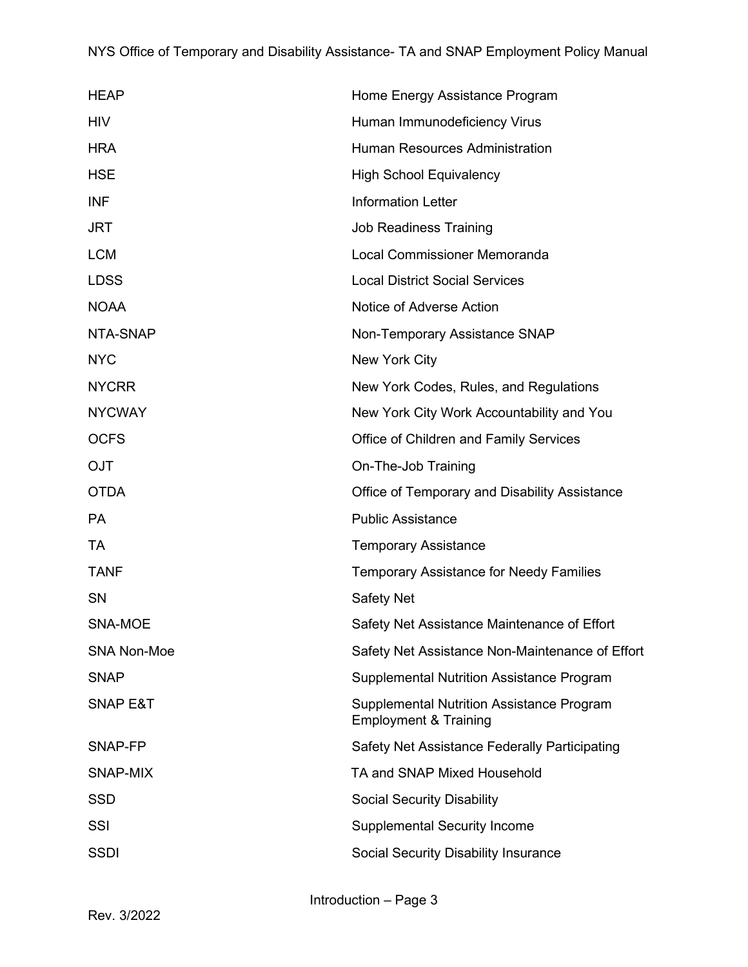## NYS Office of Temporary and Disability Assistance- TA and SNAP Employment Policy Manual

| <b>HEAP</b>         | Home Energy Assistance Program                                                |
|---------------------|-------------------------------------------------------------------------------|
| <b>HIV</b>          | Human Immunodeficiency Virus                                                  |
| <b>HRA</b>          | <b>Human Resources Administration</b>                                         |
| <b>HSE</b>          | <b>High School Equivalency</b>                                                |
| <b>INF</b>          | <b>Information Letter</b>                                                     |
| <b>JRT</b>          | <b>Job Readiness Training</b>                                                 |
| <b>LCM</b>          | Local Commissioner Memoranda                                                  |
| <b>LDSS</b>         | <b>Local District Social Services</b>                                         |
| <b>NOAA</b>         | Notice of Adverse Action                                                      |
| NTA-SNAP            | Non-Temporary Assistance SNAP                                                 |
| <b>NYC</b>          | New York City                                                                 |
| <b>NYCRR</b>        | New York Codes, Rules, and Regulations                                        |
| <b>NYCWAY</b>       | New York City Work Accountability and You                                     |
| <b>OCFS</b>         | Office of Children and Family Services                                        |
| <b>OJT</b>          | On-The-Job Training                                                           |
| <b>OTDA</b>         | Office of Temporary and Disability Assistance                                 |
| <b>PA</b>           | <b>Public Assistance</b>                                                      |
| TA                  | <b>Temporary Assistance</b>                                                   |
| <b>TANF</b>         | <b>Temporary Assistance for Needy Families</b>                                |
| <b>SN</b>           | Safety Net                                                                    |
| SNA-MOE             | Safety Net Assistance Maintenance of Effort                                   |
| <b>SNA Non-Moe</b>  | Safety Net Assistance Non-Maintenance of Effort                               |
| <b>SNAP</b>         | <b>Supplemental Nutrition Assistance Program</b>                              |
| <b>SNAP E&amp;T</b> | Supplemental Nutrition Assistance Program<br><b>Employment &amp; Training</b> |
| SNAP-FP             | Safety Net Assistance Federally Participating                                 |
| SNAP-MIX            | TA and SNAP Mixed Household                                                   |
| <b>SSD</b>          | <b>Social Security Disability</b>                                             |
| SSI                 | <b>Supplemental Security Income</b>                                           |
| <b>SSDI</b>         | Social Security Disability Insurance                                          |